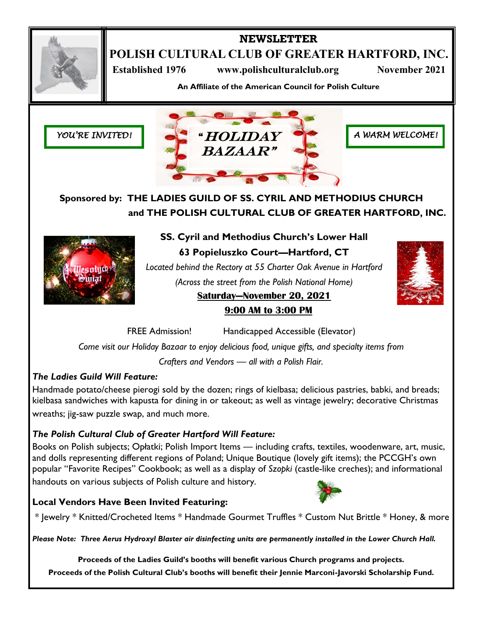

# **NEWSLETTER**

**POLISH CULTURAL CLUB OF GREATER HARTFORD, INC.**

**Established 1976** www.polishculturalclub.org November 2021

**An Affiliate of the American Council for Polish Culture**





*A WARM WELCOME!*

**Sponsored by: THE LADIES GUILD OF SS. CYRIL AND METHODIUS CHURCH and THE POLISH CULTURAL CLUB OF GREATER HARTFORD, INC.**



**SS. Cyril and Methodius Church's Lower Hall 63 Popieluszko Court—Hartford, CT** *Located behind the Rectory at 55 Charter Oak Avenue in Hartford (Across the street from the Polish National Home)* **Saturday—November 20, 2021**



# **9:00 AM to 3:00 PM**

FREE Admission! Handicapped Accessible (Elevator)

*Come visit our Holiday Bazaar to enjoy delicious food, unique gifts, and specialty items from Crafters and Vendors — all with a Polish Flair.*

## *The Ladies Guild Will Feature:*

Handmade potato/cheese pierogi sold by the dozen; rings of kielbasa; delicious pastries, babki, and breads; kielbasa sandwiches with kapusta for dining in or takeout; as well as vintage jewelry; decorative Christmas wreaths; jig-saw puzzle swap, and much more.

## *The Polish Cultural Club of Greater Hartford Will Feature:*

Books on Polish subjects; Opłatki; Polish Import Items — including crafts, textiles, woodenware, art, music, and dolls representing different regions of Poland; Unique Boutique (lovely gift items); the PCCGH's own popular "Favorite Recipes" Cookbook; as well as a display of *Szopki* (castle-like creches); and informational handouts on various subjects of Polish culture and history.

## **Local Vendors Have Been Invited Featuring:**



\* Jewelry \* Knitted/Crocheted Items \* Handmade Gourmet Truffles \* Custom Nut Brittle \* Honey, & more

*Please Note: Three Aerus Hydroxyl Blaster air disinfecting units are permanently installed in the Lower Church Hall.*

**Proceeds of the Ladies Guild's booths will benefit various Church programs and projects. Proceeds of the Polish Cultural Club's booths will benefit their Jennie Marconi-Javorski Scholarship Fund.**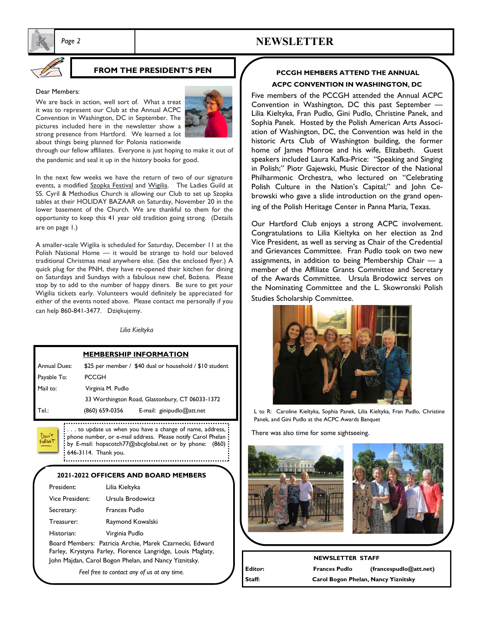

# *Page 2* **NEWSLETTER**

### **FROM THE PRESIDENT'S PEN**

#### Dear Members:

We are back in action, well sort of. What a treat it was to represent our Club at the Annual ACPC Convention in Washington, DC in September. The pictures included here in the newsletter show a strong presence from Hartford. We learned a lot about things being planned for Polonia nationwide



through our fellow affiliates. Everyone is just hoping to make it out of the pandemic and seal it up in the history books for good.

In the next few weeks we have the return of two of our signature events, a modified Szopka Festival and Wigilia. The Ladies Guild at SS. Cyril & Methodius Church is allowing our Club to set up Szopka tables at their HOLIDAY BAZAAR on Saturday, November 20 in the lower basement of the Church. We are thankful to them for the opportunity to keep this 41 year old tradition going strong. (Details are on page 1.)

A smaller-scale Wigilia is scheduled for Saturday, December 11 at the Polish National Home — it would be strange to hold our beloved traditional Christmas meal anywhere else. (See the enclosed flyer.) A quick plug for the PNH, they have re-opened their kitchen for dining on Saturdays and Sundays with a fabulous new chef, Bożena. Please stop by to add to the number of happy diners. Be sure to get your Wigilia tickets early. Volunteers would definitely be appreciated for either of the events noted above. Please contact me personally if you can help 860-841-3477. Dziękujemy.

*Lilia Kieltyka*

| <b>MEMBERSHIP INFORMATION</b> |                                                 |                                                         |
|-------------------------------|-------------------------------------------------|---------------------------------------------------------|
| <b>Annual Dues:</b>           |                                                 | \$25 per member / \$40 dual or household / \$10 student |
| Payable To:                   | <b>PCCGH</b>                                    |                                                         |
| Mail to:                      | Virginia M. Pudlo                               |                                                         |
|                               | 33 Worthington Road, Glastonbury, CT 06033-1372 |                                                         |
| Tel.:                         | (860) 659-0356                                  | E-mail: ginipudlo@att.net                               |
|                               |                                                 |                                                         |

: . . . to update us when you have a change of name, address, : phone number, or e-mail address. Please notify Carol Phelan ?  $:$  by E-mail: hopscotch77@sbcglobal.net or by phone:  $(860):$ 646-3114. Thank you. 

#### **2021-2022 OFFICERS AND BOARD MEMBERS**

| President:      | Lilia Kieltyka                                          |
|-----------------|---------------------------------------------------------|
| Vice President: | Ursula Brodowicz                                        |
| Secretary:      | Frances Pudlo                                           |
| Treasurer:      | Raymond Kowalski                                        |
| Historian:      | Virginia Pudlo                                          |
|                 | Board Members: Patricia Archie, Marek Czarnecki, Edward |

Farley, Krystyna Farley, Florence Langridge, Louis Maglaty, John Majdan, Carol Bogon Phelan, and Nancy Yiznitsky.

*Feel free to contact any of us at any time.* 

### **PCCGH MEMBERS ATTEND THE ANNUAL ACPC CONVENTION IN WASHINGTON, DC**

Five members of the PCCGH attended the Annual ACPC Convention in Washington, DC this past September — Lilia Kieltyka, Fran Pudlo, Gini Pudlo, Christine Panek, and Sophia Panek. Hosted by the Polish American Arts Association of Washington, DC, the Convention was held in the historic Arts Club of Washington building, the former home of James Monroe and his wife, Elizabeth. Guest speakers included Laura Kafka-Price: "Speaking and Singing in Polish;" Piotr Gajewski, Music Director of the National Philharmonic Orchestra, who lectured on "Celebrating Polish Culture in the Nation's Capital;" and John Cebrowski who gave a slide introduction on the grand opening of the Polish Heritage Center in Panna Maria, Texas.

Our Hartford Club enjoys a strong ACPC involvement. Congratulations to Lilia Kieltyka on her election as 2nd Vice President, as well as serving as Chair of the Credential and Grievances Committee. Fran Pudlo took on two new assignments, in addition to being Membership Chair — a member of the Affiliate Grants Committee and Secretary of the Awards Committee. Ursula Brodowicz serves on the Nominating Committee and the L. Skowronski Polish Studies Scholarship Committee.



L to R: Caroline Kieltyka, Sophia Panek, Lilia Kieltyka, Fran Pudlo, Christine Panek, and Gini Pudlo at the ACPC Awards Banquet

There was also time for some sightseeing.



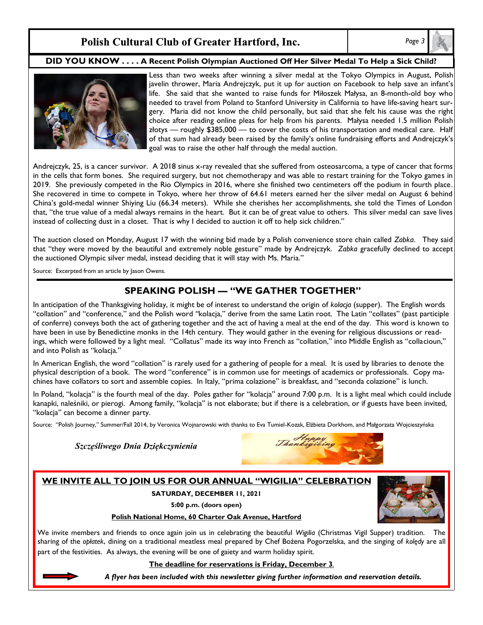## Polish Cultural Club of Greater Hartford, Inc.

*Page 3*

#### **DID YOU KNOW . . . . A Recent Polish Olympian Auctioned Off Her Silver Medal To Help a Sick Child?**



Less than two weeks after winning a silver medal at the Tokyo Olympics in August, Polish javelin thrower, Maria Andrejczyk, put it up for auction on Facebook to help save an infant's life. She said that she wanted to raise funds for Miłoszek Małysa, an 8-month-old boy who needed to travel from Poland to Stanford University in California to have life-saving heart surgery. Maria did not know the child personally, but said that she felt his cause was the right choice after reading online pleas for help from his parents. Małysa needed 1.5 million Polish złotys — roughly \$385,000 — to cover the costs of his transportation and medical care. Half of that sum had already been raised by the family's online fundraising efforts and Andrejczyk's goal was to raise the other half through the medal auction.

Andrejczyk, 25, is a cancer survivor. A 2018 sinus x-ray revealed that she suffered from osteosarcoma, a type of cancer that forms in the cells that form bones. She required surgery, but not chemotherapy and was able to restart training for the Tokyo games in 2019. She previously competed in the Rio Olympics in 2016, where she finished two centimeters off the podium in fourth place. She recovered in time to compete in Tokyo, where her throw of 64.61 meters earned her the silver medal on August 6 behind China's gold-medal winner Shiying Liu (66.34 meters). While she cherishes her accomplishments, she told the Times of London that, "the true value of a medal always remains in the heart. But it can be of great value to others. This silver medal can save lives instead of collecting dust in a closet. That is why I decided to auction it off to help sick children."

The auction closed on Monday, August 17 with the winning bid made by a Polish convenience store chain called *Zabka*. They said that "they were moved by the beautiful and extremely noble gesture" made by Andrejczyk. *Zabka* gracefully declined to accept the auctioned Olympic silver medal, instead deciding that it will stay with Ms. Maria."

Source: Excerpted from an article by Jason Owens.

## **SPEAKING POLISH — "WE GATHER TOGETHER"**

In anticipation of the Thanksgiving holiday, it might be of interest to understand the origin of *kolacja* (supper). The English words "collation" and "conference," and the Polish word *"*kolacja," derive from the same Latin root. The Latin "collates" (past participle of conferre) conveys both the act of gathering together and the act of having a meal at the end of the day. This word is known to have been in use by Benedictine monks in the 14th century. They would gather in the evening for religious discussions or readings, which were followed by a light meal. "Collatus" made its way into French as "collation," into Middle English as "collacioun," and into Polish as "kolacja."

In American English, the word "collation" is rarely used for a gathering of people for a meal. It is used by libraries to denote the physical description of a book. The word "conference" is in common use for meetings of academics or professionals. Copy machines have collators to sort and assemble copies. In Italy, "prima colazione" is breakfast, and "seconda colazione" is lunch.

In Poland, "kolacja" is the fourth meal of the day. Poles gather for "kolacja" around 7:00 p.m. It is a light meal which could include kanapki, naleśniki, or pierogi. Among family, "kolacja" is not elaborate; but if there is a celebration, or if guests have been invited, "kolacja" can become a dinner party.

Source: "Polish Journey," Summer/Fall 2014, by Veronica Wojnarowski with thanks to Eva Tumiel-Kozak, Elżbieta Dorkhom, and Małgorzata Wojcieszyńska

*Szczęśliwego Dnia Dziękczynienia* 



#### **WE INVITE ALL TO JOIN US FOR OUR ANNUAL "WIGILIA" CELEBRATION**

**SATURDAY, DECEMBER 11, 2021**

**5:00 p.m. (doors open)**



#### **Polish National Home, 60 Charter Oak Avenue, Hartford**

We invite members and friends to once again join us in celebrating the beautiful *Wigilia* (Christmas Vigil Supper) tradition. The sharing of the *opłatek*, dining on a traditional meatless meal prepared by Chef Bożena Pogorzelska, and the singing of *kolędy* are all part of the festivities. As always, the evening will be one of gaiety and warm holiday spirit.

**The deadline for reservations is Friday, December 3**.

*A flyer has been included with this newsletter giving further information and reservation details.*